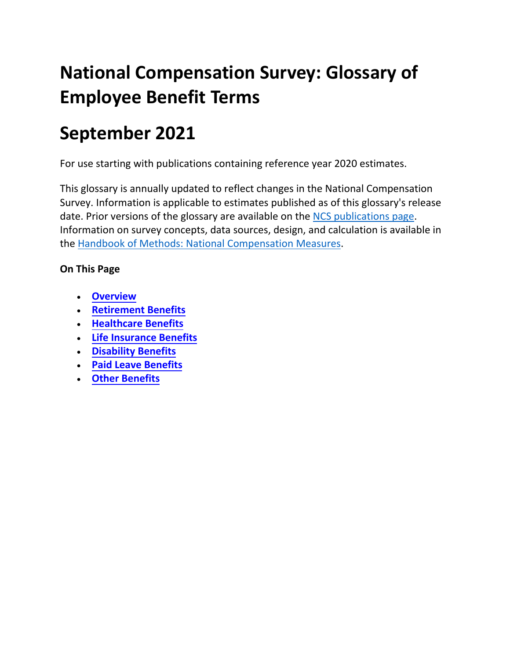# **National Compensation Survey: Glossary of Employee Benefit Terms**

# **September 2021**

For use starting with publications containing reference year 2020 estimates.

This glossary is annually updated to reflect changes in the National Compensation Survey. Information is applicable to estimates published as of this glossary's release date. Prior versions of the glossary are available on the [NCS publications page.](http://www.bls.gov/ncs/ncspubs.htm) Information on survey concepts, data sources, design, and calculation is available in the [Handbook of Methods: National Compensation Measures.](http://www.bls.gov/opub/hom/ncs/home.htm)

# **On This Page**

- **[Overview](#page-1-0)**
- **[Retirement Benefits](#page-2-0)**
- **[Healthcare Benefits](#page-11-0)**
- **[Life Insurance Benefits](#page-18-0)**
- **[Disability Benefits](#page-19-0)**
- **[Paid Leave Benefits](#page-21-0)**
- **[Other Benefits](#page-23-0)**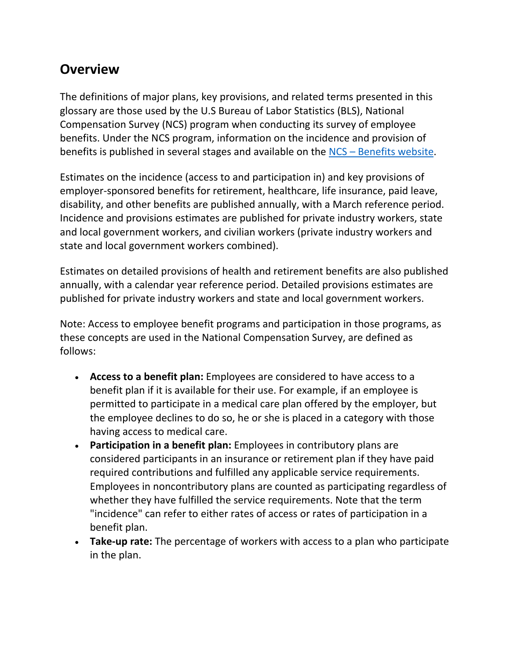# <span id="page-1-0"></span>**Overview**

The definitions of major plans, key provisions, and related terms presented in this glossary are those used by the U.S Bureau of Labor Statistics (BLS), National Compensation Survey (NCS) program when conducting its survey of employee benefits. Under the NCS program, information on the incidence and provision of benefits is published in several stages and available on the [NCS – Benefits website.](http://www.bls.gov/ncs/ebs)

Estimates on the incidence (access to and participation in) and key provisions of employer-sponsored benefits for retirement, healthcare, life insurance, paid leave, disability, and other benefits are published annually, with a March reference period. Incidence and provisions estimates are published for private industry workers, state and local government workers, and civilian workers (private industry workers and state and local government workers combined).

Estimates on detailed provisions of health and retirement benefits are also published annually, with a calendar year reference period. Detailed provisions estimates are published for private industry workers and state and local government workers.

Note: Access to employee benefit programs and participation in those programs, as these concepts are used in the National Compensation Survey, are defined as follows:

- **Access to a benefit plan:** Employees are considered to have access to a benefit plan if it is available for their use. For example, if an employee is permitted to participate in a medical care plan offered by the employer, but the employee declines to do so, he or she is placed in a category with those having access to medical care.
- **Participation in a benefit plan:** Employees in contributory plans are considered participants in an insurance or retirement plan if they have paid required contributions and fulfilled any applicable service requirements. Employees in noncontributory plans are counted as participating regardless of whether they have fulfilled the service requirements. Note that the term "incidence" can refer to either rates of access or rates of participation in a benefit plan.
- **Take-up rate:** The percentage of workers with access to a plan who participate in the plan.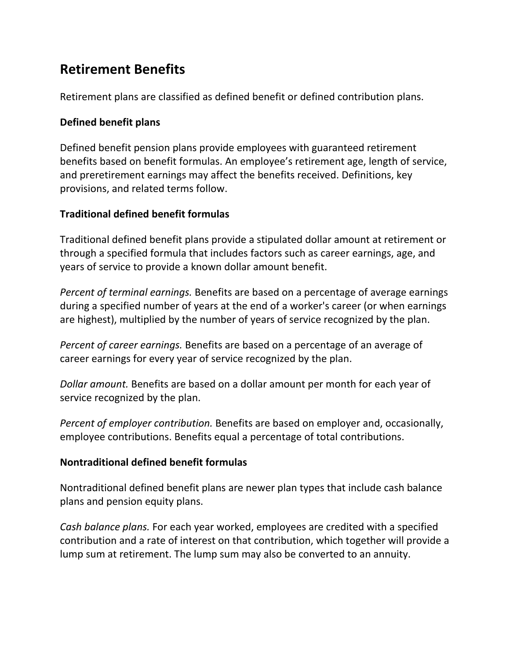# <span id="page-2-0"></span>**Retirement Benefits**

Retirement plans are classified as defined benefit or defined contribution plans.

# **Defined benefit plans**

Defined benefit pension plans provide employees with guaranteed retirement benefits based on benefit formulas. An employee's retirement age, length of service, and preretirement earnings may affect the benefits received. Definitions, key provisions, and related terms follow.

# **Traditional defined benefit formulas**

Traditional defined benefit plans provide a stipulated dollar amount at retirement or through a specified formula that includes factors such as career earnings, age, and years of service to provide a known dollar amount benefit.

*Percent of terminal earnings.* Benefits are based on a percentage of average earnings during a specified number of years at the end of a worker's career (or when earnings are highest), multiplied by the number of years of service recognized by the plan.

*Percent of career earnings.* Benefits are based on a percentage of an average of career earnings for every year of service recognized by the plan.

*Dollar amount.* Benefits are based on a dollar amount per month for each year of service recognized by the plan.

*Percent of employer contribution.* Benefits are based on employer and, occasionally, employee contributions. Benefits equal a percentage of total contributions.

# **Nontraditional defined benefit formulas**

Nontraditional defined benefit plans are newer plan types that include cash balance plans and pension equity plans.

*Cash balance plans.* For each year worked, employees are credited with a specified contribution and a rate of interest on that contribution, which together will provide a lump sum at retirement. The lump sum may also be converted to an annuity.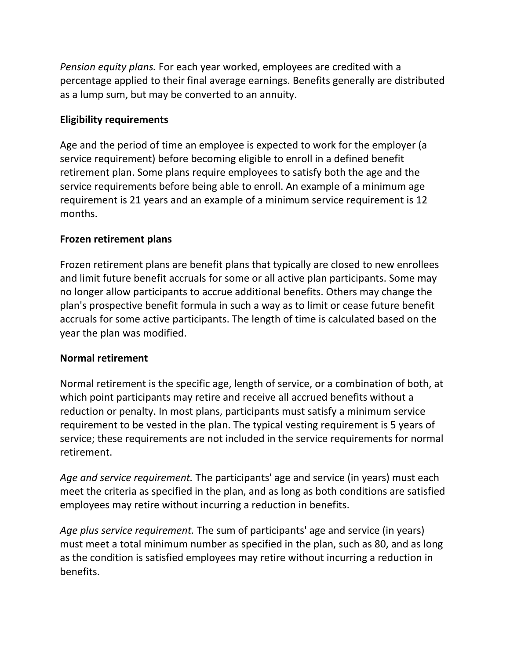*Pension equity plans.* For each year worked, employees are credited with a percentage applied to their final average earnings. Benefits generally are distributed as a lump sum, but may be converted to an annuity.

# **Eligibility requirements**

Age and the period of time an employee is expected to work for the employer (a service requirement) before becoming eligible to enroll in a defined benefit retirement plan. Some plans require employees to satisfy both the age and the service requirements before being able to enroll. An example of a minimum age requirement is 21 years and an example of a minimum service requirement is 12 months.

# **Frozen retirement plans**

Frozen retirement plans are benefit plans that typically are closed to new enrollees and limit future benefit accruals for some or all active plan participants. Some may no longer allow participants to accrue additional benefits. Others may change the plan's prospective benefit formula in such a way as to limit or cease future benefit accruals for some active participants. The length of time is calculated based on the year the plan was modified.

# **Normal retirement**

Normal retirement is the specific age, length of service, or a combination of both, at which point participants may retire and receive all accrued benefits without a reduction or penalty. In most plans, participants must satisfy a minimum service requirement to be vested in the plan. The typical vesting requirement is 5 years of service; these requirements are not included in the service requirements for normal retirement.

*Age and service requirement.* The participants' age and service (in years) must each meet the criteria as specified in the plan, and as long as both conditions are satisfied employees may retire without incurring a reduction in benefits.

*Age plus service requirement.* The sum of participants' age and service (in years) must meet a total minimum number as specified in the plan, such as 80, and as long as the condition is satisfied employees may retire without incurring a reduction in benefits.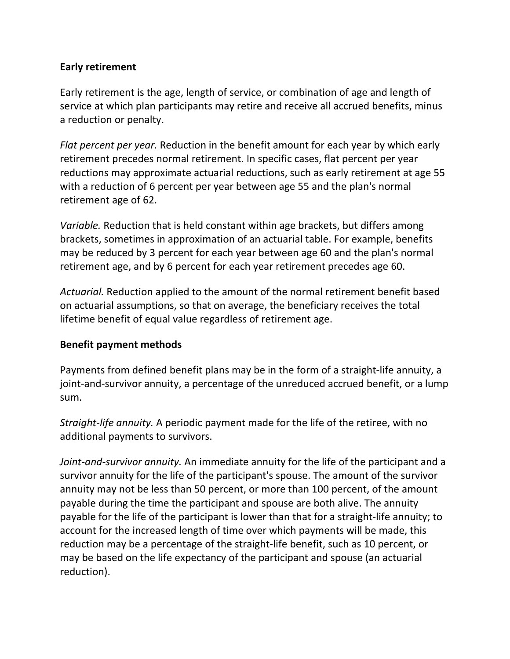# **Early retirement**

Early retirement is the age, length of service, or combination of age and length of service at which plan participants may retire and receive all accrued benefits, minus a reduction or penalty.

*Flat percent per year.* Reduction in the benefit amount for each year by which early retirement precedes normal retirement. In specific cases, flat percent per year reductions may approximate actuarial reductions, such as early retirement at age 55 with a reduction of 6 percent per year between age 55 and the plan's normal retirement age of 62.

*Variable.* Reduction that is held constant within age brackets, but differs among brackets, sometimes in approximation of an actuarial table. For example, benefits may be reduced by 3 percent for each year between age 60 and the plan's normal retirement age, and by 6 percent for each year retirement precedes age 60.

*Actuarial.* Reduction applied to the amount of the normal retirement benefit based on actuarial assumptions, so that on average, the beneficiary receives the total lifetime benefit of equal value regardless of retirement age.

# **Benefit payment methods**

Payments from defined benefit plans may be in the form of a straight-life annuity, a joint-and-survivor annuity, a percentage of the unreduced accrued benefit, or a lump sum.

*Straight-life annuity.* A periodic payment made for the life of the retiree, with no additional payments to survivors.

*Joint-and-survivor annuity.* An immediate annuity for the life of the participant and a survivor annuity for the life of the participant's spouse. The amount of the survivor annuity may not be less than 50 percent, or more than 100 percent, of the amount payable during the time the participant and spouse are both alive. The annuity payable for the life of the participant is lower than that for a straight-life annuity; to account for the increased length of time over which payments will be made, this reduction may be a percentage of the straight-life benefit, such as 10 percent, or may be based on the life expectancy of the participant and spouse (an actuarial reduction).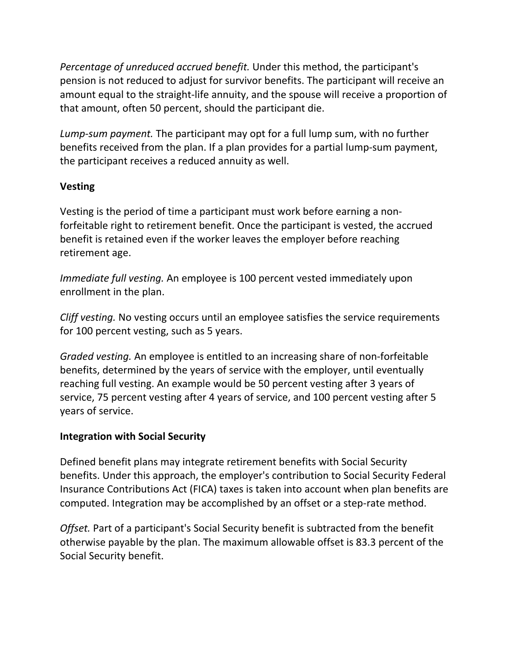*Percentage of unreduced accrued benefit.* Under this method, the participant's pension is not reduced to adjust for survivor benefits. The participant will receive an amount equal to the straight-life annuity, and the spouse will receive a proportion of that amount, often 50 percent, should the participant die.

*Lump-sum payment.* The participant may opt for a full lump sum, with no further benefits received from the plan. If a plan provides for a partial lump-sum payment, the participant receives a reduced annuity as well.

# **Vesting**

Vesting is the period of time a participant must work before earning a nonforfeitable right to retirement benefit. Once the participant is vested, the accrued benefit is retained even if the worker leaves the employer before reaching retirement age.

*Immediate full vesting.* An employee is 100 percent vested immediately upon enrollment in the plan.

*Cliff vesting.* No vesting occurs until an employee satisfies the service requirements for 100 percent vesting, such as 5 years.

*Graded vesting.* An employee is entitled to an increasing share of non-forfeitable benefits, determined by the years of service with the employer, until eventually reaching full vesting. An example would be 50 percent vesting after 3 years of service, 75 percent vesting after 4 years of service, and 100 percent vesting after 5 years of service.

# **Integration with Social Security**

Defined benefit plans may integrate retirement benefits with Social Security benefits. Under this approach, the employer's contribution to Social Security Federal Insurance Contributions Act (FICA) taxes is taken into account when plan benefits are computed. Integration may be accomplished by an offset or a step-rate method.

*Offset.* Part of a participant's Social Security benefit is subtracted from the benefit otherwise payable by the plan. The maximum allowable offset is 83.3 percent of the Social Security benefit.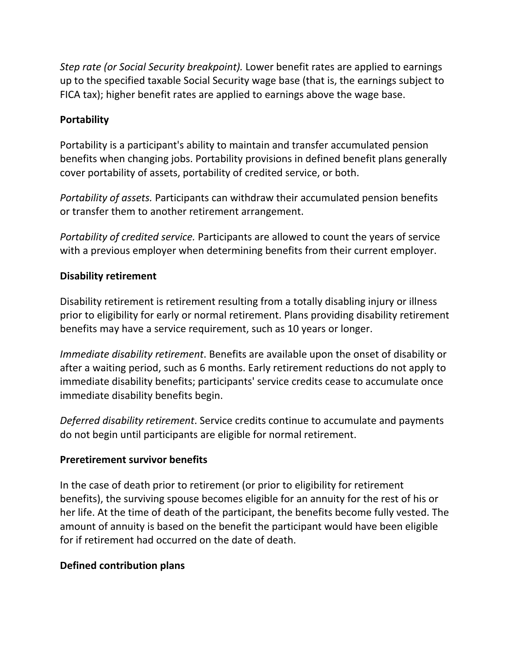*Step rate (or Social Security breakpoint).* Lower benefit rates are applied to earnings up to the specified taxable Social Security wage base (that is, the earnings subject to FICA tax); higher benefit rates are applied to earnings above the wage base.

# **Portability**

Portability is a participant's ability to maintain and transfer accumulated pension benefits when changing jobs. Portability provisions in defined benefit plans generally cover portability of assets, portability of credited service, or both.

*Portability of assets.* Participants can withdraw their accumulated pension benefits or transfer them to another retirement arrangement.

*Portability of credited service.* Participants are allowed to count the years of service with a previous employer when determining benefits from their current employer.

# **Disability retirement**

Disability retirement is retirement resulting from a totally disabling injury or illness prior to eligibility for early or normal retirement. Plans providing disability retirement benefits may have a service requirement, such as 10 years or longer.

*Immediate disability retirement*. Benefits are available upon the onset of disability or after a waiting period, such as 6 months. Early retirement reductions do not apply to immediate disability benefits; participants' service credits cease to accumulate once immediate disability benefits begin.

*Deferred disability retirement*. Service credits continue to accumulate and payments do not begin until participants are eligible for normal retirement.

# **Preretirement survivor benefits**

In the case of death prior to retirement (or prior to eligibility for retirement benefits), the surviving spouse becomes eligible for an annuity for the rest of his or her life. At the time of death of the participant, the benefits become fully vested. The amount of annuity is based on the benefit the participant would have been eligible for if retirement had occurred on the date of death.

# **Defined contribution plans**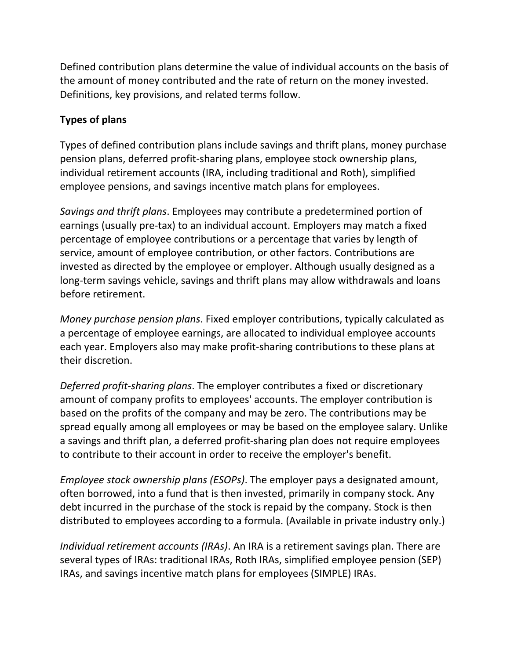Defined contribution plans determine the value of individual accounts on the basis of the amount of money contributed and the rate of return on the money invested. Definitions, key provisions, and related terms follow.

# **Types of plans**

Types of defined contribution plans include savings and thrift plans, money purchase pension plans, deferred profit-sharing plans, employee stock ownership plans, individual retirement accounts (IRA, including traditional and Roth), simplified employee pensions, and savings incentive match plans for employees.

*Savings and thrift plans*. Employees may contribute a predetermined portion of earnings (usually pre-tax) to an individual account. Employers may match a fixed percentage of employee contributions or a percentage that varies by length of service, amount of employee contribution, or other factors. Contributions are invested as directed by the employee or employer. Although usually designed as a long-term savings vehicle, savings and thrift plans may allow withdrawals and loans before retirement.

*Money purchase pension plans*. Fixed employer contributions, typically calculated as a percentage of employee earnings, are allocated to individual employee accounts each year. Employers also may make profit-sharing contributions to these plans at their discretion.

*Deferred profit-sharing plans*. The employer contributes a fixed or discretionary amount of company profits to employees' accounts. The employer contribution is based on the profits of the company and may be zero. The contributions may be spread equally among all employees or may be based on the employee salary. Unlike a savings and thrift plan, a deferred profit-sharing plan does not require employees to contribute to their account in order to receive the employer's benefit.

*Employee stock ownership plans (ESOPs)*. The employer pays a designated amount, often borrowed, into a fund that is then invested, primarily in company stock. Any debt incurred in the purchase of the stock is repaid by the company. Stock is then distributed to employees according to a formula. (Available in private industry only.)

*Individual retirement accounts (IRAs)*. An IRA is a retirement savings plan. There are several types of IRAs: traditional IRAs, Roth IRAs, simplified employee pension (SEP) IRAs, and savings incentive match plans for employees (SIMPLE) IRAs.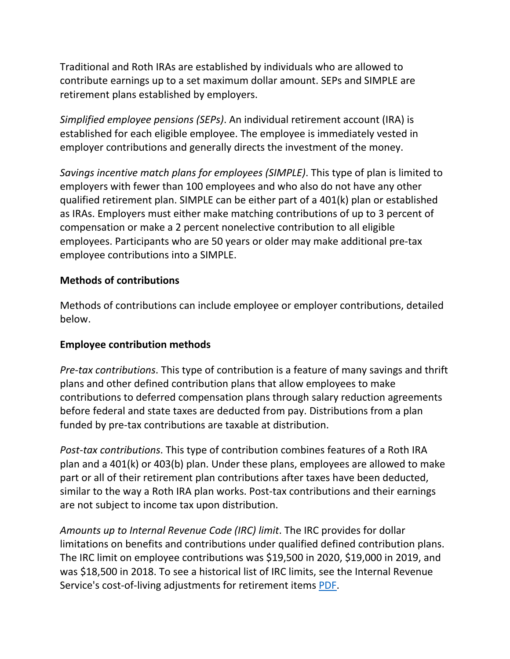Traditional and Roth IRAs are established by individuals who are allowed to contribute earnings up to a set maximum dollar amount. SEPs and SIMPLE are retirement plans established by employers.

*Simplified employee pensions (SEPs)*. An individual retirement account (IRA) is established for each eligible employee. The employee is immediately vested in employer contributions and generally directs the investment of the money.

*Savings incentive match plans for employees (SIMPLE)*. This type of plan is limited to employers with fewer than 100 employees and who also do not have any other qualified retirement plan. SIMPLE can be either part of a 401(k) plan or established as IRAs. Employers must either make matching contributions of up to 3 percent of compensation or make a 2 percent nonelective contribution to all eligible employees. Participants who are 50 years or older may make additional pre-tax employee contributions into a SIMPLE.

# **Methods of contributions**

Methods of contributions can include employee or employer contributions, detailed below.

# **Employee contribution methods**

*Pre-tax contributions*. This type of contribution is a feature of many savings and thrift plans and other defined contribution plans that allow employees to make contributions to deferred compensation plans through salary reduction agreements before federal and state taxes are deducted from pay. Distributions from a plan funded by pre-tax contributions are taxable at distribution.

*Post-tax contributions*. This type of contribution combines features of a Roth IRA plan and a 401(k) or 403(b) plan. Under these plans, employees are allowed to make part or all of their retirement plan contributions after taxes have been deducted, similar to the way a Roth IRA plan works. Post-tax contributions and their earnings are not subject to income tax upon distribution.

*Amounts up to Internal Revenue Code (IRC) limit*. The IRC provides for dollar limitations on benefits and contributions under qualified defined contribution plans. The IRC limit on employee contributions was \$19,500 in 2020, \$19,000 in 2019, and was \$18,500 in 2018. To see a historical list of IRC limits, see the Internal Revenue Service's cost-of-living adjustments for retirement items [PDF.](https://www.irs.gov/pub/irs-tege/cola_table.pdf)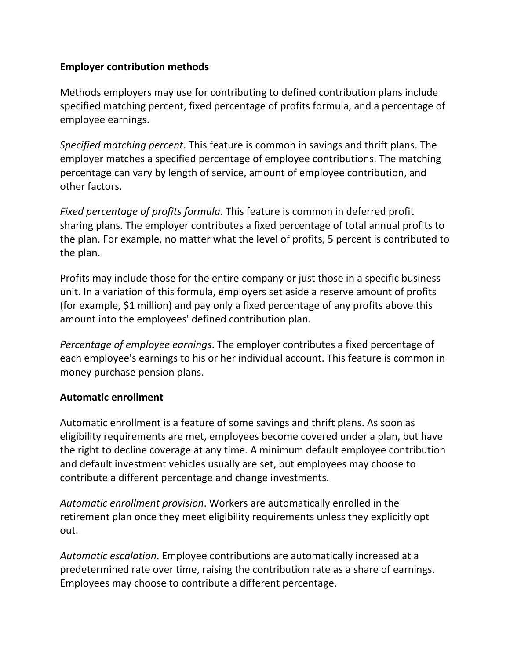# **Employer contribution methods**

Methods employers may use for contributing to defined contribution plans include specified matching percent, fixed percentage of profits formula, and a percentage of employee earnings.

*Specified matching percent*. This feature is common in savings and thrift plans. The employer matches a specified percentage of employee contributions. The matching percentage can vary by length of service, amount of employee contribution, and other factors.

*Fixed percentage of profits formula*. This feature is common in deferred profit sharing plans. The employer contributes a fixed percentage of total annual profits to the plan. For example, no matter what the level of profits, 5 percent is contributed to the plan.

Profits may include those for the entire company or just those in a specific business unit. In a variation of this formula, employers set aside a reserve amount of profits (for example, \$1 million) and pay only a fixed percentage of any profits above this amount into the employees' defined contribution plan.

*Percentage of employee earnings*. The employer contributes a fixed percentage of each employee's earnings to his or her individual account. This feature is common in money purchase pension plans.

# **Automatic enrollment**

Automatic enrollment is a feature of some savings and thrift plans. As soon as eligibility requirements are met, employees become covered under a plan, but have the right to decline coverage at any time. A minimum default employee contribution and default investment vehicles usually are set, but employees may choose to contribute a different percentage and change investments.

*Automatic enrollment provision*. Workers are automatically enrolled in the retirement plan once they meet eligibility requirements unless they explicitly opt out.

*Automatic escalation*. Employee contributions are automatically increased at a predetermined rate over time, raising the contribution rate as a share of earnings. Employees may choose to contribute a different percentage.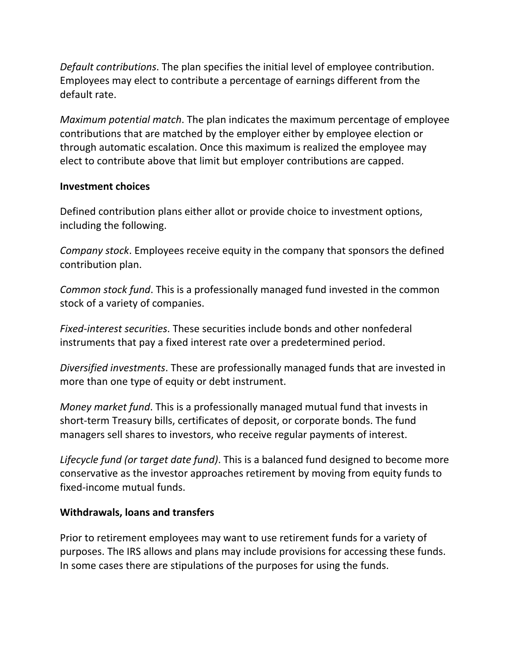*Default contributions*. The plan specifies the initial level of employee contribution. Employees may elect to contribute a percentage of earnings different from the default rate.

*Maximum potential match*. The plan indicates the maximum percentage of employee contributions that are matched by the employer either by employee election or through automatic escalation. Once this maximum is realized the employee may elect to contribute above that limit but employer contributions are capped.

# **Investment choices**

Defined contribution plans either allot or provide choice to investment options, including the following.

*Company stock*. Employees receive equity in the company that sponsors the defined contribution plan.

*Common stock fund*. This is a professionally managed fund invested in the common stock of a variety of companies.

*Fixed-interest securities*. These securities include bonds and other nonfederal instruments that pay a fixed interest rate over a predetermined period.

*Diversified investments*. These are professionally managed funds that are invested in more than one type of equity or debt instrument.

*Money market fund*. This is a professionally managed mutual fund that invests in short-term Treasury bills, certificates of deposit, or corporate bonds. The fund managers sell shares to investors, who receive regular payments of interest.

*Lifecycle fund (or target date fund)*. This is a balanced fund designed to become more conservative as the investor approaches retirement by moving from equity funds to fixed-income mutual funds.

# **Withdrawals, loans and transfers**

Prior to retirement employees may want to use retirement funds for a variety of purposes. The IRS allows and plans may include provisions for accessing these funds. In some cases there are stipulations of the purposes for using the funds.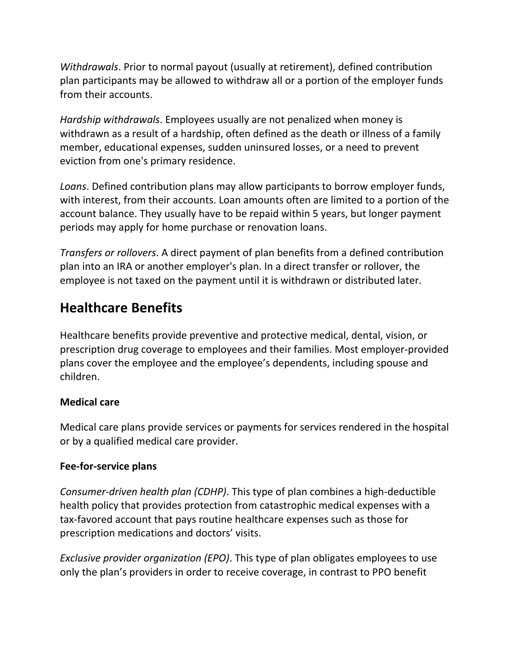<span id="page-11-0"></span>*Withdrawals*. Prior to normal payout (usually at retirement), defined contribution plan participants may be allowed to withdraw all or a portion of the employer funds from their accounts.

*Hardship withdrawals*. Employees usually are not penalized when money is withdrawn as a result of a hardship, often defined as the death or illness of a family member, educational expenses, sudden uninsured losses, or a need to prevent eviction from one's primary residence.

*Loans*. Defined contribution plans may allow participants to borrow employer funds, with interest, from their accounts. Loan amounts often are limited to a portion of the account balance. They usually have to be repaid within 5 years, but longer payment periods may apply for home purchase or renovation loans.

*Transfers or rollovers*. A direct payment of plan benefits from a defined contribution plan into an IRA or another employer's plan. In a direct transfer or rollover, the employee is not taxed on the payment until it is withdrawn or distributed later.

# **Healthcare Benefits**

Healthcare benefits provide preventive and protective medical, dental, vision, or prescription drug coverage to employees and their families. Most employer-provided plans cover the employee and the employee's dependents, including spouse and children.

# **Medical care**

Medical care plans provide services or payments for services rendered in the hospital or by a qualified medical care provider.

# **Fee-for-service plans**

*Consumer-driven health plan (CDHP)*. This type of plan combines a high-deductible health policy that provides protection from catastrophic medical expenses with a tax-favored account that pays routine healthcare expenses such as those for prescription medications and doctors' visits.

*Exclusive provider organization (EPO)*. This type of plan obligates employees to use only the plan's providers in order to receive coverage, in contrast to PPO benefit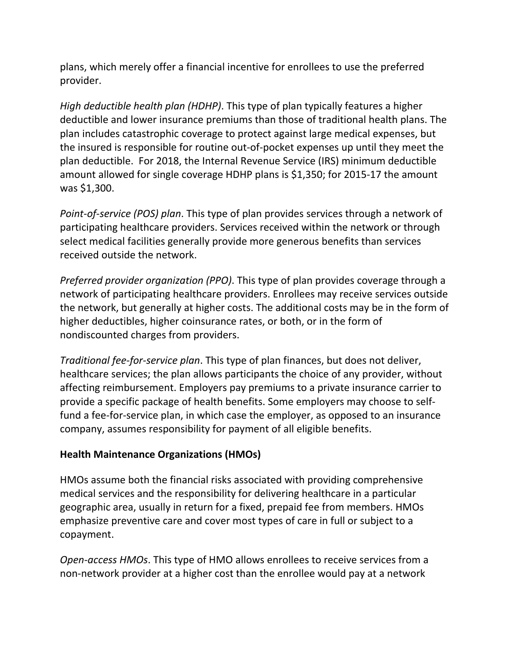plans, which merely offer a financial incentive for enrollees to use the preferred provider.

*High deductible health plan (HDHP)*. This type of plan typically features a higher deductible and lower insurance premiums than those of traditional health plans. The plan includes catastrophic coverage to protect against large medical expenses, but the insured is responsible for routine out-of-pocket expenses up until they meet the plan deductible. For 2018, the Internal Revenue Service (IRS) minimum deductible amount allowed for single coverage HDHP plans is \$1,350; for 2015-17 the amount was \$1,300.

*Point-of-service (POS) plan*. This type of plan provides services through a network of participating healthcare providers. Services received within the network or through select medical facilities generally provide more generous benefits than services received outside the network.

*Preferred provider organization (PPO)*. This type of plan provides coverage through a network of participating healthcare providers. Enrollees may receive services outside the network, but generally at higher costs. The additional costs may be in the form of higher deductibles, higher coinsurance rates, or both, or in the form of nondiscounted charges from providers.

*Traditional fee-for-service plan*. This type of plan finances, but does not deliver, healthcare services; the plan allows participants the choice of any provider, without affecting reimbursement. Employers pay premiums to a private insurance carrier to provide a specific package of health benefits. Some employers may choose to selffund a fee-for-service plan, in which case the employer, as opposed to an insurance company, assumes responsibility for payment of all eligible benefits.

# **Health Maintenance Organizations (HMOs)**

HMOs assume both the financial risks associated with providing comprehensive medical services and the responsibility for delivering healthcare in a particular geographic area, usually in return for a fixed, prepaid fee from members. HMOs emphasize preventive care and cover most types of care in full or subject to a copayment.

*Open-access HMOs*. This type of HMO allows enrollees to receive services from a non-network provider at a higher cost than the enrollee would pay at a network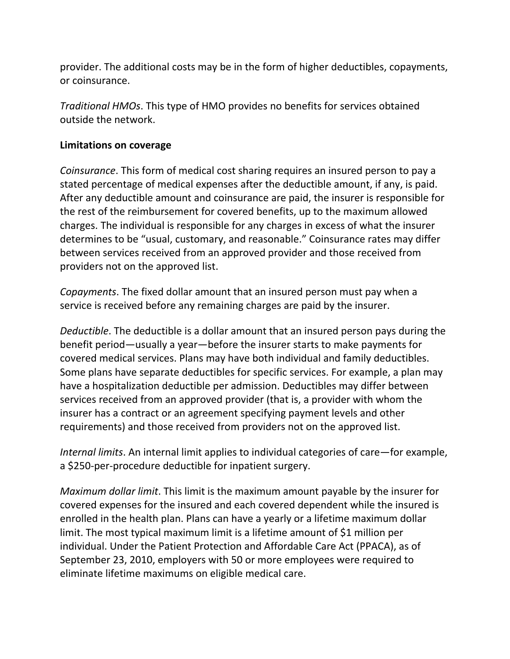provider. The additional costs may be in the form of higher deductibles, copayments, or coinsurance.

*Traditional HMOs*. This type of HMO provides no benefits for services obtained outside the network.

# **Limitations on coverage**

*Coinsurance*. This form of medical cost sharing requires an insured person to pay a stated percentage of medical expenses after the deductible amount, if any, is paid. After any deductible amount and coinsurance are paid, the insurer is responsible for the rest of the reimbursement for covered benefits, up to the maximum allowed charges. The individual is responsible for any charges in excess of what the insurer determines to be "usual, customary, and reasonable." Coinsurance rates may differ between services received from an approved provider and those received from providers not on the approved list.

*Copayments*. The fixed dollar amount that an insured person must pay when a service is received before any remaining charges are paid by the insurer.

*Deductible*. The deductible is a dollar amount that an insured person pays during the benefit period—usually a year—before the insurer starts to make payments for covered medical services. Plans may have both individual and family deductibles. Some plans have separate deductibles for specific services. For example, a plan may have a hospitalization deductible per admission. Deductibles may differ between services received from an approved provider (that is, a provider with whom the insurer has a contract or an agreement specifying payment levels and other requirements) and those received from providers not on the approved list.

*Internal limits*. An internal limit applies to individual categories of care—for example, a \$250-per-procedure deductible for inpatient surgery.

*Maximum dollar limit*. This limit is the maximum amount payable by the insurer for covered expenses for the insured and each covered dependent while the insured is enrolled in the health plan. Plans can have a yearly or a lifetime maximum dollar limit. The most typical maximum limit is a lifetime amount of \$1 million per individual. Under the Patient Protection and Affordable Care Act (PPACA), as of September 23, 2010, employers with 50 or more employees were required to eliminate lifetime maximums on eligible medical care.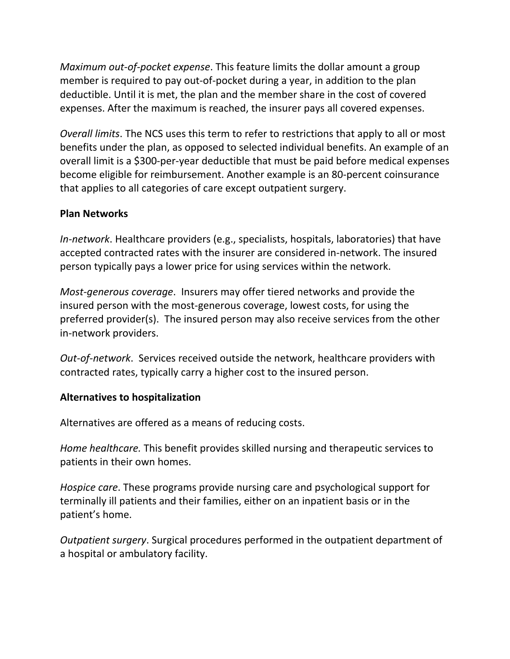*Maximum out-of-pocket expense*. This feature limits the dollar amount a group member is required to pay out-of-pocket during a year, in addition to the plan deductible. Until it is met, the plan and the member share in the cost of covered expenses. After the maximum is reached, the insurer pays all covered expenses.

*Overall limits*. The NCS uses this term to refer to restrictions that apply to all or most benefits under the plan, as opposed to selected individual benefits. An example of an overall limit is a \$300-per-year deductible that must be paid before medical expenses become eligible for reimbursement. Another example is an 80-percent coinsurance that applies to all categories of care except outpatient surgery.

# **Plan Networks**

*In-network*. Healthcare providers (e.g., specialists, hospitals, laboratories) that have accepted contracted rates with the insurer are considered in-network. The insured person typically pays a lower price for using services within the network.

*Most-generous coverage*. Insurers may offer tiered networks and provide the insured person with the most-generous coverage, lowest costs, for using the preferred provider(s). The insured person may also receive services from the other in-network providers.

*Out-of-network*. Services received outside the network, healthcare providers with contracted rates, typically carry a higher cost to the insured person.

# **Alternatives to hospitalization**

Alternatives are offered as a means of reducing costs.

*Home healthcare.* This benefit provides skilled nursing and therapeutic services to patients in their own homes.

*Hospice care*. These programs provide nursing care and psychological support for terminally ill patients and their families, either on an inpatient basis or in the patient's home.

*Outpatient surgery*. Surgical procedures performed in the outpatient department of a hospital or ambulatory facility.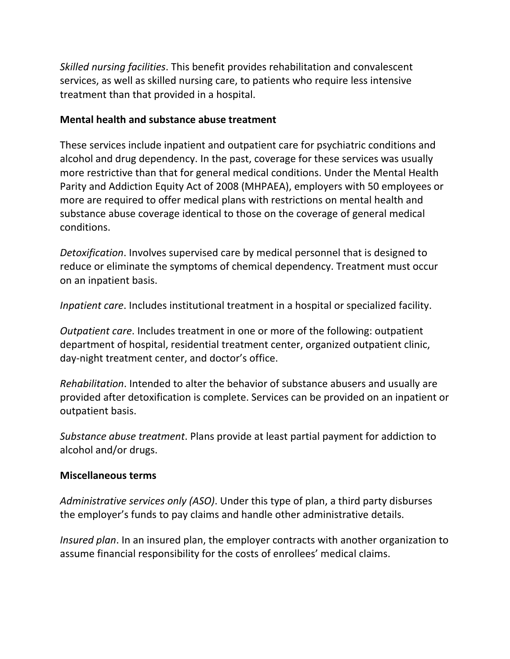*Skilled nursing facilities*. This benefit provides rehabilitation and convalescent services, as well as skilled nursing care, to patients who require less intensive treatment than that provided in a hospital.

# **Mental health and substance abuse treatment**

These services include inpatient and outpatient care for psychiatric conditions and alcohol and drug dependency. In the past, coverage for these services was usually more restrictive than that for general medical conditions. Under the Mental Health Parity and Addiction Equity Act of 2008 (MHPAEA), employers with 50 employees or more are required to offer medical plans with restrictions on mental health and substance abuse coverage identical to those on the coverage of general medical conditions.

*Detoxification*. Involves supervised care by medical personnel that is designed to reduce or eliminate the symptoms of chemical dependency. Treatment must occur on an inpatient basis.

*Inpatient care*. Includes institutional treatment in a hospital or specialized facility.

*Outpatient care*. Includes treatment in one or more of the following: outpatient department of hospital, residential treatment center, organized outpatient clinic, day-night treatment center, and doctor's office.

*Rehabilitation*. Intended to alter the behavior of substance abusers and usually are provided after detoxification is complete. Services can be provided on an inpatient or outpatient basis.

*Substance abuse treatment*. Plans provide at least partial payment for addiction to alcohol and/or drugs.

# **Miscellaneous terms**

*Administrative services only (ASO)*. Under this type of plan, a third party disburses the employer's funds to pay claims and handle other administrative details.

*Insured plan*. In an insured plan, the employer contracts with another organization to assume financial responsibility for the costs of enrollees' medical claims.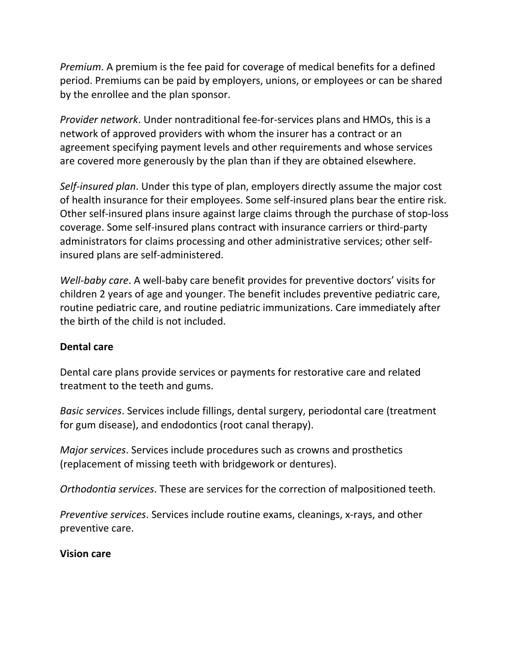*Premium*. A premium is the fee paid for coverage of medical benefits for a defined period. Premiums can be paid by employers, unions, or employees or can be shared by the enrollee and the plan sponsor.

*Provider network*. Under nontraditional fee-for-services plans and HMOs, this is a network of approved providers with whom the insurer has a contract or an agreement specifying payment levels and other requirements and whose services are covered more generously by the plan than if they are obtained elsewhere.

*Self-insured plan*. Under this type of plan, employers directly assume the major cost of health insurance for their employees. Some self-insured plans bear the entire risk. Other self-insured plans insure against large claims through the purchase of stop-loss coverage. Some self-insured plans contract with insurance carriers or third-party administrators for claims processing and other administrative services; other selfinsured plans are self-administered.

*Well-baby care*. A well-baby care benefit provides for preventive doctors' visits for children 2 years of age and younger. The benefit includes preventive pediatric care, routine pediatric care, and routine pediatric immunizations. Care immediately after the birth of the child is not included.

# **Dental care**

Dental care plans provide services or payments for restorative care and related treatment to the teeth and gums.

*Basic services*. Services include fillings, dental surgery, periodontal care (treatment for gum disease), and endodontics (root canal therapy).

*Major services*. Services include procedures such as crowns and prosthetics (replacement of missing teeth with bridgework or dentures).

*Orthodontia services*. These are services for the correction of malpositioned teeth.

*Preventive services*. Services include routine exams, cleanings, x-rays, and other preventive care.

# **Vision care**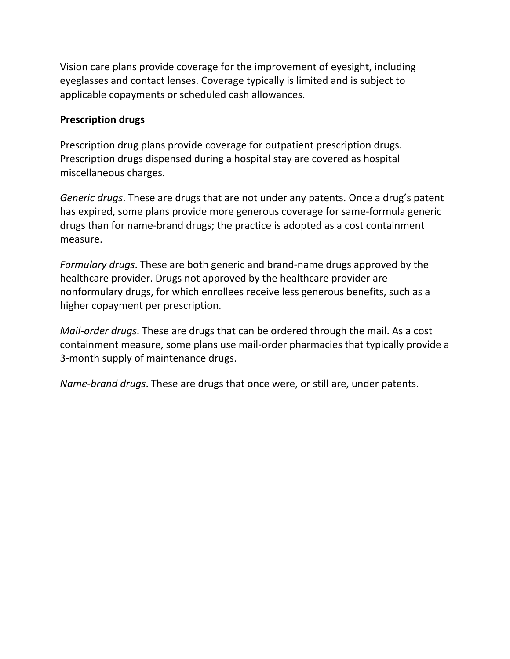Vision care plans provide coverage for the improvement of eyesight, including eyeglasses and contact lenses. Coverage typically is limited and is subject to applicable copayments or scheduled cash allowances.

#### **Prescription drugs**

Prescription drug plans provide coverage for outpatient prescription drugs. Prescription drugs dispensed during a hospital stay are covered as hospital miscellaneous charges.

*Generic drugs*. These are drugs that are not under any patents. Once a drug's patent has expired, some plans provide more generous coverage for same-formula generic drugs than for name-brand drugs; the practice is adopted as a cost containment measure.

*Formulary drugs*. These are both generic and brand-name drugs approved by the healthcare provider. Drugs not approved by the healthcare provider are nonformulary drugs, for which enrollees receive less generous benefits, such as a higher copayment per prescription.

*Mail-order drugs*. These are drugs that can be ordered through the mail. As a cost containment measure, some plans use mail-order pharmacies that typically provide a 3-month supply of maintenance drugs.

*Name-brand drugs*. These are drugs that once were, or still are, under patents.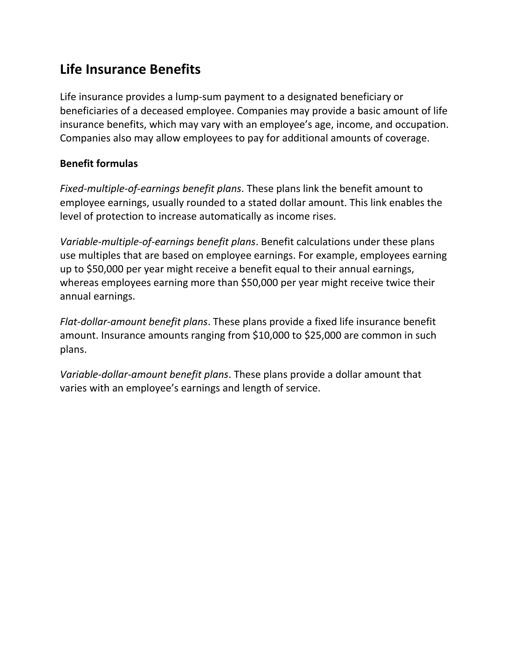# <span id="page-18-0"></span>**Life Insurance Benefits**

Life insurance provides a lump-sum payment to a designated beneficiary or beneficiaries of a deceased employee. Companies may provide a basic amount of life insurance benefits, which may vary with an employee's age, income, and occupation. Companies also may allow employees to pay for additional amounts of coverage.

# **Benefit formulas**

*Fixed-multiple-of-earnings benefit plans*. These plans link the benefit amount to employee earnings, usually rounded to a stated dollar amount. This link enables the level of protection to increase automatically as income rises.

*Variable-multiple-of-earnings benefit plans*. Benefit calculations under these plans use multiples that are based on employee earnings. For example, employees earning up to \$50,000 per year might receive a benefit equal to their annual earnings, whereas employees earning more than \$50,000 per year might receive twice their annual earnings.

*Flat-dollar-amount benefit plans*. These plans provide a fixed life insurance benefit amount. Insurance amounts ranging from \$10,000 to \$25,000 are common in such plans.

*Variable-dollar-amount benefit plans*. These plans provide a dollar amount that varies with an employee's earnings and length of service.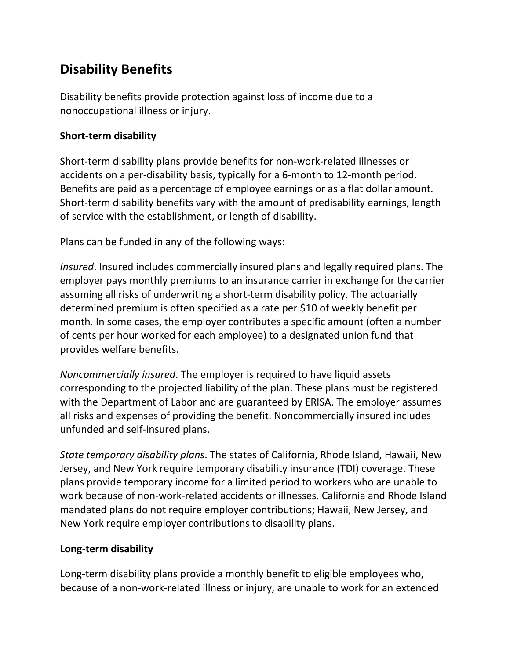# <span id="page-19-0"></span>**Disability Benefits**

Disability benefits provide protection against loss of income due to a nonoccupational illness or injury.

# **Short-term disability**

Short-term disability plans provide benefits for non-work-related illnesses or accidents on a per-disability basis, typically for a 6-month to 12-month period. Benefits are paid as a percentage of employee earnings or as a flat dollar amount. Short-term disability benefits vary with the amount of predisability earnings, length of service with the establishment, or length of disability.

Plans can be funded in any of the following ways:

*Insured*. Insured includes commercially insured plans and legally required plans. The employer pays monthly premiums to an insurance carrier in exchange for the carrier assuming all risks of underwriting a short-term disability policy. The actuarially determined premium is often specified as a rate per \$10 of weekly benefit per month. In some cases, the employer contributes a specific amount (often a number of cents per hour worked for each employee) to a designated union fund that provides welfare benefits.

*Noncommercially insured*. The employer is required to have liquid assets corresponding to the projected liability of the plan. These plans must be registered with the Department of Labor and are guaranteed by ERISA. The employer assumes all risks and expenses of providing the benefit. Noncommercially insured includes unfunded and self-insured plans.

*State temporary disability plans*. The states of California, Rhode Island, Hawaii, New Jersey, and New York require temporary disability insurance (TDI) coverage. These plans provide temporary income for a limited period to workers who are unable to work because of non-work-related accidents or illnesses. California and Rhode Island mandated plans do not require employer contributions; Hawaii, New Jersey, and New York require employer contributions to disability plans.

# **Long-term disability**

Long-term disability plans provide a monthly benefit to eligible employees who, because of a non-work-related illness or injury, are unable to work for an extended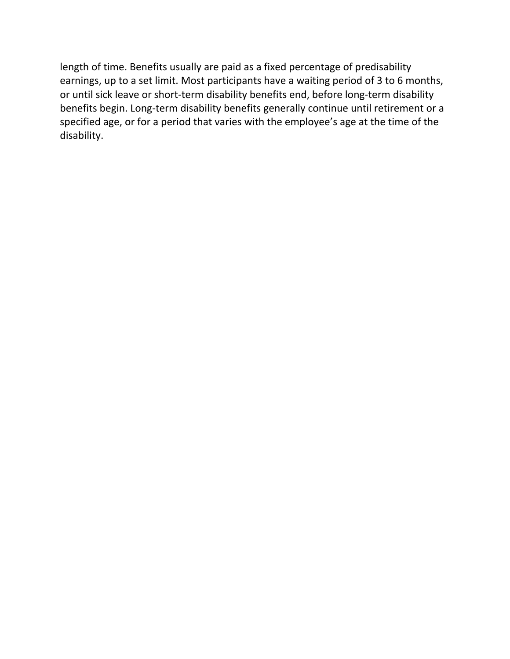length of time. Benefits usually are paid as a fixed percentage of predisability earnings, up to a set limit. Most participants have a waiting period of 3 to 6 months, or until sick leave or short-term disability benefits end, before long-term disability benefits begin. Long-term disability benefits generally continue until retirement or a specified age, or for a period that varies with the employee's age at the time of the disability.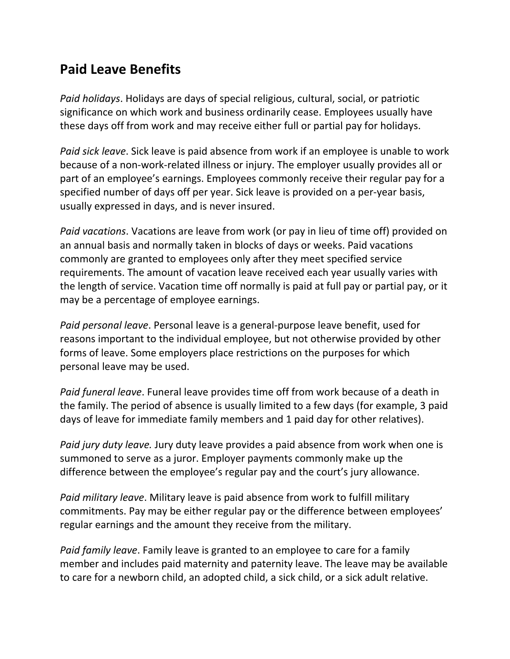# <span id="page-21-0"></span>**Paid Leave Benefits**

*Paid holidays*. Holidays are days of special religious, cultural, social, or patriotic significance on which work and business ordinarily cease. Employees usually have these days off from work and may receive either full or partial pay for holidays.

*Paid sick leave*. Sick leave is paid absence from work if an employee is unable to work because of a non-work-related illness or injury. The employer usually provides all or part of an employee's earnings. Employees commonly receive their regular pay for a specified number of days off per year. Sick leave is provided on a per-year basis, usually expressed in days, and is never insured.

*Paid vacations*. Vacations are leave from work (or pay in lieu of time off) provided on an annual basis and normally taken in blocks of days or weeks. Paid vacations commonly are granted to employees only after they meet specified service requirements. The amount of vacation leave received each year usually varies with the length of service. Vacation time off normally is paid at full pay or partial pay, or it may be a percentage of employee earnings.

*Paid personal leave*. Personal leave is a general-purpose leave benefit, used for reasons important to the individual employee, but not otherwise provided by other forms of leave. Some employers place restrictions on the purposes for which personal leave may be used.

*Paid funeral leave*. Funeral leave provides time off from work because of a death in the family. The period of absence is usually limited to a few days (for example, 3 paid days of leave for immediate family members and 1 paid day for other relatives).

*Paid jury duty leave.* Jury duty leave provides a paid absence from work when one is summoned to serve as a juror. Employer payments commonly make up the difference between the employee's regular pay and the court's jury allowance.

*Paid military leave*. Military leave is paid absence from work to fulfill military commitments. Pay may be either regular pay or the difference between employees' regular earnings and the amount they receive from the military.

*Paid family leave*. Family leave is granted to an employee to care for a family member and includes paid maternity and paternity leave. The leave may be available to care for a newborn child, an adopted child, a sick child, or a sick adult relative.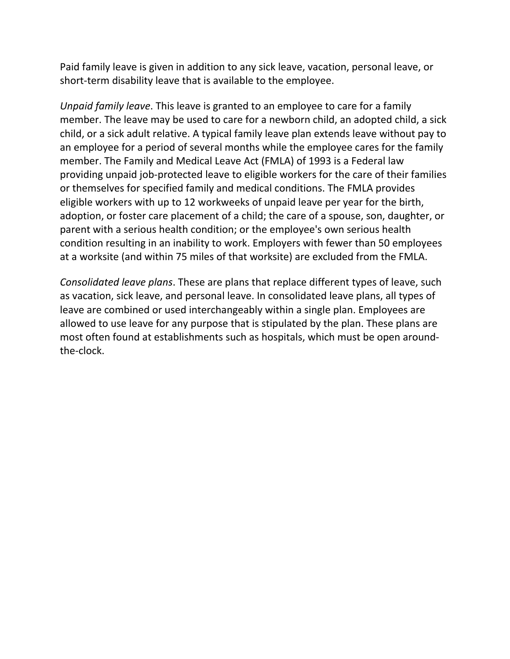Paid family leave is given in addition to any sick leave, vacation, personal leave, or short-term disability leave that is available to the employee.

*Unpaid family leave*. This leave is granted to an employee to care for a family member. The leave may be used to care for a newborn child, an adopted child, a sick child, or a sick adult relative. A typical family leave plan extends leave without pay to an employee for a period of several months while the employee cares for the family member. The Family and Medical Leave Act (FMLA) of 1993 is a Federal law providing unpaid job-protected leave to eligible workers for the care of their families or themselves for specified family and medical conditions. The FMLA provides eligible workers with up to 12 workweeks of unpaid leave per year for the birth, adoption, or foster care placement of a child; the care of a spouse, son, daughter, or parent with a serious health condition; or the employee's own serious health condition resulting in an inability to work. Employers with fewer than 50 employees at a worksite (and within 75 miles of that worksite) are excluded from the FMLA.

*Consolidated leave plans*. These are plans that replace different types of leave, such as vacation, sick leave, and personal leave. In consolidated leave plans, all types of leave are combined or used interchangeably within a single plan. Employees are allowed to use leave for any purpose that is stipulated by the plan. These plans are most often found at establishments such as hospitals, which must be open aroundthe-clock.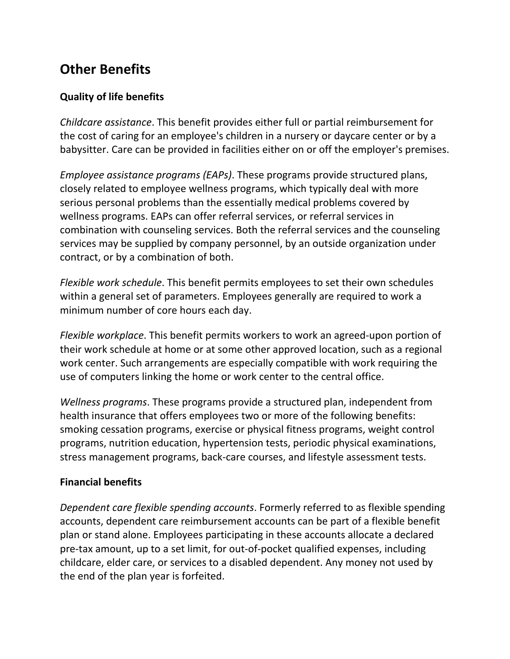# <span id="page-23-0"></span>**Other Benefits**

# **Quality of life benefits**

*Childcare assistance*. This benefit provides either full or partial reimbursement for the cost of caring for an employee's children in a nursery or daycare center or by a babysitter. Care can be provided in facilities either on or off the employer's premises.

*Employee assistance programs (EAPs)*. These programs provide structured plans, closely related to employee wellness programs, which typically deal with more serious personal problems than the essentially medical problems covered by wellness programs. EAPs can offer referral services, or referral services in combination with counseling services. Both the referral services and the counseling services may be supplied by company personnel, by an outside organization under contract, or by a combination of both.

*Flexible work schedule*. This benefit permits employees to set their own schedules within a general set of parameters. Employees generally are required to work a minimum number of core hours each day.

*Flexible workplace*. This benefit permits workers to work an agreed-upon portion of their work schedule at home or at some other approved location, such as a regional work center. Such arrangements are especially compatible with work requiring the use of computers linking the home or work center to the central office.

*Wellness programs*. These programs provide a structured plan, independent from health insurance that offers employees two or more of the following benefits: smoking cessation programs, exercise or physical fitness programs, weight control programs, nutrition education, hypertension tests, periodic physical examinations, stress management programs, back-care courses, and lifestyle assessment tests.

# **Financial benefits**

*Dependent care flexible spending accounts*. Formerly referred to as flexible spending accounts, dependent care reimbursement accounts can be part of a flexible benefit plan or stand alone. Employees participating in these accounts allocate a declared pre-tax amount, up to a set limit, for out-of-pocket qualified expenses, including childcare, elder care, or services to a disabled dependent. Any money not used by the end of the plan year is forfeited.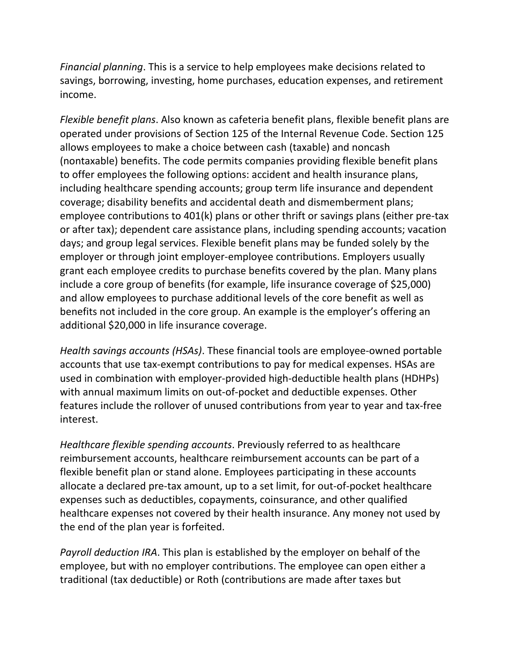*Financial planning*. This is a service to help employees make decisions related to savings, borrowing, investing, home purchases, education expenses, and retirement income.

*Flexible benefit plans*. Also known as cafeteria benefit plans, flexible benefit plans are operated under provisions of Section 125 of the Internal Revenue Code. Section 125 allows employees to make a choice between cash (taxable) and noncash (nontaxable) benefits. The code permits companies providing flexible benefit plans to offer employees the following options: accident and health insurance plans, including healthcare spending accounts; group term life insurance and dependent coverage; disability benefits and accidental death and dismemberment plans; employee contributions to 401(k) plans or other thrift or savings plans (either pre-tax or after tax); dependent care assistance plans, including spending accounts; vacation days; and group legal services. Flexible benefit plans may be funded solely by the employer or through joint employer-employee contributions. Employers usually grant each employee credits to purchase benefits covered by the plan. Many plans include a core group of benefits (for example, life insurance coverage of \$25,000) and allow employees to purchase additional levels of the core benefit as well as benefits not included in the core group. An example is the employer's offering an additional \$20,000 in life insurance coverage.

*Health savings accounts (HSAs)*. These financial tools are employee-owned portable accounts that use tax-exempt contributions to pay for medical expenses. HSAs are used in combination with employer-provided high-deductible health plans (HDHPs) with annual maximum limits on out-of-pocket and deductible expenses. Other features include the rollover of unused contributions from year to year and tax-free interest.

*Healthcare flexible spending accounts*. Previously referred to as healthcare reimbursement accounts, healthcare reimbursement accounts can be part of a flexible benefit plan or stand alone. Employees participating in these accounts allocate a declared pre-tax amount, up to a set limit, for out-of-pocket healthcare expenses such as deductibles, copayments, coinsurance, and other qualified healthcare expenses not covered by their health insurance. Any money not used by the end of the plan year is forfeited.

*Payroll deduction IRA*. This plan is established by the employer on behalf of the employee, but with no employer contributions. The employee can open either a traditional (tax deductible) or Roth (contributions are made after taxes but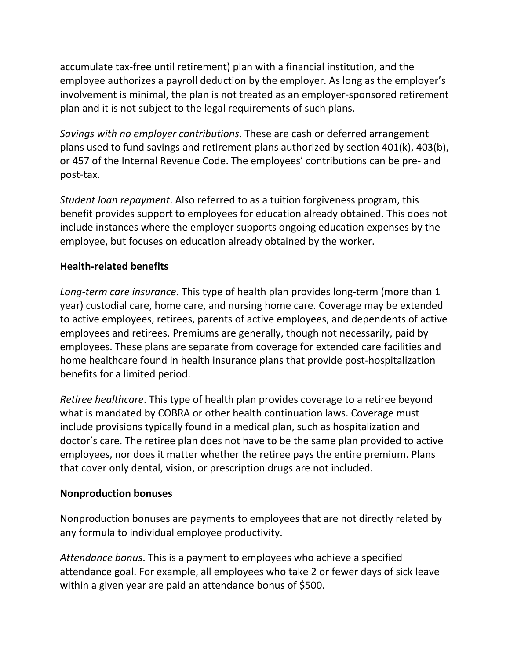accumulate tax-free until retirement) plan with a financial institution, and the employee authorizes a payroll deduction by the employer. As long as the employer's involvement is minimal, the plan is not treated as an employer-sponsored retirement plan and it is not subject to the legal requirements of such plans.

*Savings with no employer contributions*. These are cash or deferred arrangement plans used to fund savings and retirement plans authorized by section 401(k), 403(b), or 457 of the Internal Revenue Code. The employees' contributions can be pre- and post-tax.

*Student loan repayment*. Also referred to as a tuition forgiveness program, this benefit provides support to employees for education already obtained. This does not include instances where the employer supports ongoing education expenses by the employee, but focuses on education already obtained by the worker.

# **Health-related benefits**

*Long-term care insurance*. This type of health plan provides long-term (more than 1 year) custodial care, home care, and nursing home care. Coverage may be extended to active employees, retirees, parents of active employees, and dependents of active employees and retirees. Premiums are generally, though not necessarily, paid by employees. These plans are separate from coverage for extended care facilities and home healthcare found in health insurance plans that provide post-hospitalization benefits for a limited period.

*Retiree healthcare*. This type of health plan provides coverage to a retiree beyond what is mandated by COBRA or other health continuation laws. Coverage must include provisions typically found in a medical plan, such as hospitalization and doctor's care. The retiree plan does not have to be the same plan provided to active employees, nor does it matter whether the retiree pays the entire premium. Plans that cover only dental, vision, or prescription drugs are not included.

# **Nonproduction bonuses**

Nonproduction bonuses are payments to employees that are not directly related by any formula to individual employee productivity.

*Attendance bonus*. This is a payment to employees who achieve a specified attendance goal. For example, all employees who take 2 or fewer days of sick leave within a given year are paid an attendance bonus of \$500.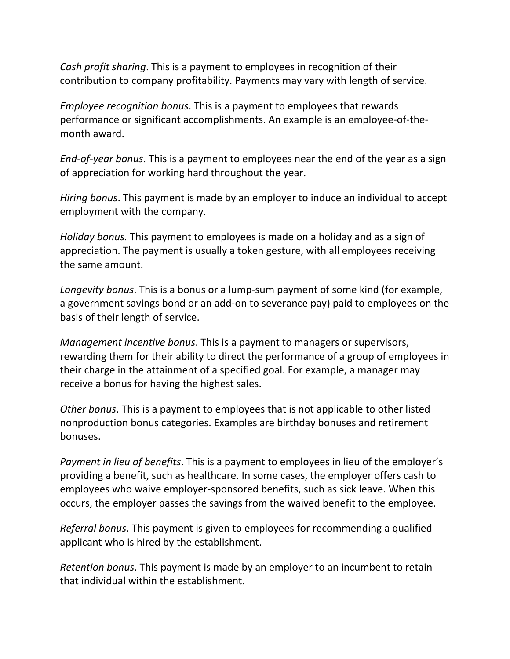*Cash profit sharing*. This is a payment to employees in recognition of their contribution to company profitability. Payments may vary with length of service.

*Employee recognition bonus*. This is a payment to employees that rewards performance or significant accomplishments. An example is an employee-of-themonth award.

*End-of-year bonus*. This is a payment to employees near the end of the year as a sign of appreciation for working hard throughout the year.

*Hiring bonus*. This payment is made by an employer to induce an individual to accept employment with the company.

*Holiday bonus.* This payment to employees is made on a holiday and as a sign of appreciation. The payment is usually a token gesture, with all employees receiving the same amount.

*Longevity bonus*. This is a bonus or a lump-sum payment of some kind (for example, a government savings bond or an add-on to severance pay) paid to employees on the basis of their length of service.

*Management incentive bonus*. This is a payment to managers or supervisors, rewarding them for their ability to direct the performance of a group of employees in their charge in the attainment of a specified goal. For example, a manager may receive a bonus for having the highest sales.

*Other bonus*. This is a payment to employees that is not applicable to other listed nonproduction bonus categories. Examples are birthday bonuses and retirement bonuses.

*Payment in lieu of benefits*. This is a payment to employees in lieu of the employer's providing a benefit, such as healthcare. In some cases, the employer offers cash to employees who waive employer-sponsored benefits, such as sick leave. When this occurs, the employer passes the savings from the waived benefit to the employee.

*Referral bonus*. This payment is given to employees for recommending a qualified applicant who is hired by the establishment.

*Retention bonus*. This payment is made by an employer to an incumbent to retain that individual within the establishment.